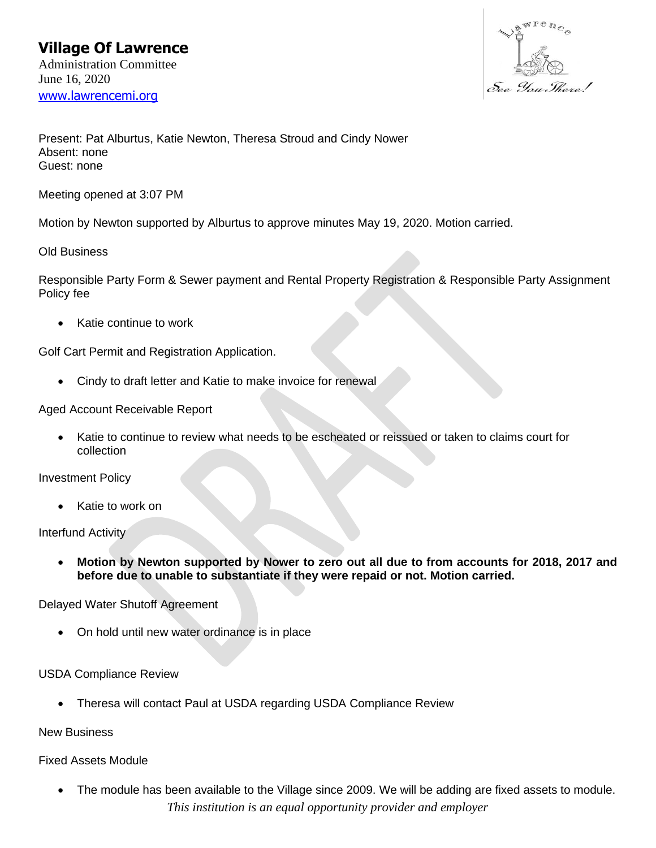

Present: Pat Alburtus, Katie Newton, Theresa Stroud and Cindy Nower Absent: none Guest: none

Meeting opened at 3:07 PM

Motion by Newton supported by Alburtus to approve minutes May 19, 2020. Motion carried.

Old Business

Responsible Party Form & Sewer payment and Rental Property Registration & Responsible Party Assignment Policy fee

• Katie continue to work

Golf Cart Permit and Registration Application.

• Cindy to draft letter and Katie to make invoice for renewal

Aged Account Receivable Report

• Katie to continue to review what needs to be escheated or reissued or taken to claims court for collection

Investment Policy

Katie to work on

Interfund Activity

• **Motion by Newton supported by Nower to zero out all due to from accounts for 2018, 2017 and before due to unable to substantiate if they were repaid or not. Motion carried.**

Delayed Water Shutoff Agreement

• On hold until new water ordinance is in place

## USDA Compliance Review

• Theresa will contact Paul at USDA regarding USDA Compliance Review

New Business

## Fixed Assets Module

*This institution is an equal opportunity provider and employer* • The module has been available to the Village since 2009. We will be adding are fixed assets to module.